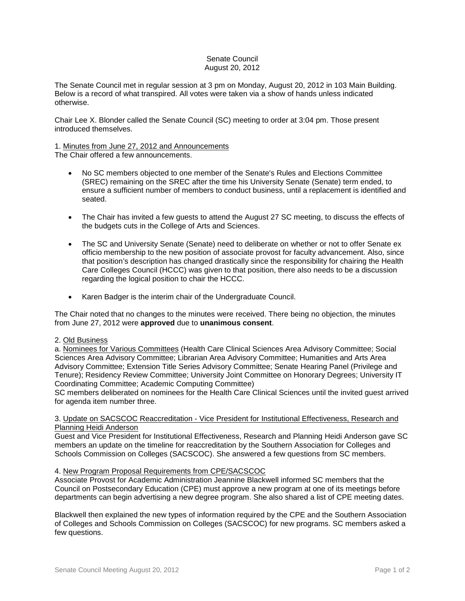## Senate Council August 20, 2012

The Senate Council met in regular session at 3 pm on Monday, August 20, 2012 in 103 Main Building. Below is a record of what transpired. All votes were taken via a show of hands unless indicated otherwise.

Chair Lee X. Blonder called the Senate Council (SC) meeting to order at 3:04 pm. Those present introduced themselves.

# 1. Minutes from June 27, 2012 and Announcements

The Chair offered a few announcements.

- No SC members objected to one member of the Senate's Rules and Elections Committee (SREC) remaining on the SREC after the time his University Senate (Senate) term ended, to ensure a sufficient number of members to conduct business, until a replacement is identified and seated.
- The Chair has invited a few guests to attend the August 27 SC meeting, to discuss the effects of the budgets cuts in the College of Arts and Sciences.
- The SC and University Senate (Senate) need to deliberate on whether or not to offer Senate ex officio membership to the new position of associate provost for faculty advancement. Also, since that position's description has changed drastically since the responsibility for chairing the Health Care Colleges Council (HCCC) was given to that position, there also needs to be a discussion regarding the logical position to chair the HCCC.
- Karen Badger is the interim chair of the Undergraduate Council.

The Chair noted that no changes to the minutes were received. There being no objection, the minutes from June 27, 2012 were **approved** due to **unanimous consent**.

## 2. Old Business

a. Nominees for Various Committees (Health Care Clinical Sciences Area Advisory Committee; Social Sciences Area Advisory Committee; Librarian Area Advisory Committee; Humanities and Arts Area Advisory Committee; Extension Title Series Advisory Committee; Senate Hearing Panel (Privilege and Tenure); Residency Review Committee; University Joint Committee on Honorary Degrees; University IT Coordinating Committee; Academic Computing Committee)

SC members deliberated on nominees for the Health Care Clinical Sciences until the invited guest arrived for agenda item number three.

## 3. Update on SACSCOC Reaccreditation - Vice President for Institutional Effectiveness, Research and Planning Heidi Anderson

Guest and Vice President for Institutional Effectiveness, Research and Planning Heidi Anderson gave SC members an update on the timeline for reaccreditation by the Southern Association for Colleges and Schools Commission on Colleges (SACSCOC). She answered a few questions from SC members.

## 4. New Program Proposal Requirements from CPE/SACSCOC

Associate Provost for Academic Administration Jeannine Blackwell informed SC members that the Council on Postsecondary Education (CPE) must approve a new program at one of its meetings before departments can begin advertising a new degree program. She also shared a list of CPE meeting dates.

Blackwell then explained the new types of information required by the CPE and the Southern Association of Colleges and Schools Commission on Colleges (SACSCOC) for new programs. SC members asked a few questions.